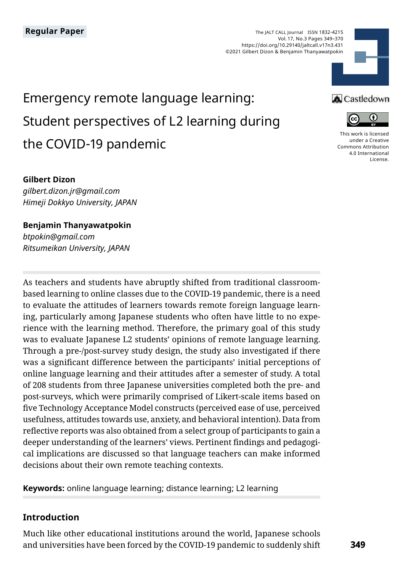The JALT CALL Journal ISSN 1832-4215 Vol. 17, No.3 Pages 349–370 https://doi.org/10.29140/jaltcall.v17n3.431 ©2021 Gilbert Dizon & Benjamin Thanyawatpokin



# Emergency remote language learning: Student perspectives of L2 learning during the COVID-19 pandemic

#### **A** Castledown



[This work is licensed](https://creativecommons.org/licenses/by/4.0/)  [under a Creative](https://creativecommons.org/licenses/by/4.0/)  [Commons Attribution](https://creativecommons.org/licenses/by/4.0/)  [4.0 International](https://creativecommons.org/licenses/by/4.0/)  [License](https://creativecommons.org/licenses/by/4.0/).

#### **Gilbert Dizon**

*gilbert.dizon.jr@gmail.com Himeji Dokkyo University, JAPAN*

**Benjamin Thanyawatpokin** *btpokin@gmail.com Ritsumeikan University, JAPAN*

As teachers and students have abruptly shifted from traditional classroombased learning to online classes due to the COVID-19 pandemic, there is a need to evaluate the attitudes of learners towards remote foreign language learning, particularly among Japanese students who often have little to no experience with the learning method. Therefore, the primary goal of this study was to evaluate Japanese L2 students' opinions of remote language learning. Through a pre-/post-survey study design, the study also investigated if there was a significant difference between the participants' initial perceptions of online language learning and their attitudes after a semester of study. A total of 208 students from three Japanese universities completed both the pre- and post-surveys, which were primarily comprised of Likert-scale items based on five Technology Acceptance Model constructs (perceived ease of use, perceived usefulness, attitudes towards use, anxiety, and behavioral intention). Data from reflective reports was also obtained from a select group of participants to gain a deeper understanding of the learners' views. Pertinent findings and pedagogical implications are discussed so that language teachers can make informed decisions about their own remote teaching contexts.

**Keywords:** online language learning; distance learning; L2 learning

#### **Introduction**

Much like other educational institutions around the world, Japanese schools and universities have been forced by the COVID-19 pandemic to suddenly shift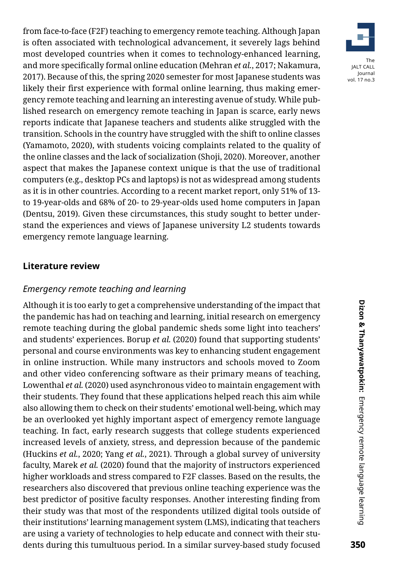from face-to-face (F2F) teaching to emergency remote teaching. Although Japan is often associated with technological advancement, it severely lags behind most developed countries when it comes to technology-enhanced learning, and more specifically formal online education (Mehran *et al.*, 2017; Nakamura, 2017). Because of this, the spring 2020 semester for most Japanese students was likely their first experience with formal online learning, thus making emergency remote teaching and learning an interesting avenue of study. While published research on emergency remote teaching in Japan is scarce, early news reports indicate that Japanese teachers and students alike struggled with the transition. Schools in the country have struggled with the shift to online classes (Yamamoto, 2020), with students voicing complaints related to the quality of the online classes and the lack of socialization (Shoji, 2020). Moreover, another aspect that makes the Japanese context unique is that the use of traditional computers (e.g., desktop PCs and laptops) is not as widespread among students as it is in other countries. According to a recent market report, only 51% of 13 to 19-year-olds and 68% of 20- to 29-year-olds used home computers in Japan (Dentsu, 2019). Given these circumstances, this study sought to better understand the experiences and views of Japanese university L2 students towards emergency remote language learning.

#### **Literature review**

#### *Emergency remote teaching and learning*

Although it is too early to get a comprehensive understanding of the impact that the pandemic has had on teaching and learning, initial research on emergency remote teaching during the global pandemic sheds some light into teachers' and students' experiences. Borup *et al.* (2020) found that supporting students' personal and course environments was key to enhancing student engagement in online instruction. While many instructors and schools moved to Zoom and other video conferencing software as their primary means of teaching, Lowenthal *et al.* (2020) used asynchronous video to maintain engagement with their students. They found that these applications helped reach this aim while also allowing them to check on their students' emotional well-being, which may be an overlooked yet highly important aspect of emergency remote language teaching. In fact, early research suggests that college students experienced increased levels of anxiety, stress, and depression because of the pandemic (Huckins *et al.*, 2020; Yang *et al.*, 2021). Through a global survey of university faculty, Marek *et al.* (2020) found that the majority of instructors experienced higher workloads and stress compared to F2F classes. Based on the results, the researchers also discovered that previous online teaching experience was the best predictor of positive faculty responses. Another interesting finding from their study was that most of the respondents utilized digital tools outside of their institutions' learning management system (LMS), indicating that teachers are using a variety of technologies to help educate and connect with their students during this tumultuous period. In a similar survey-based study focused

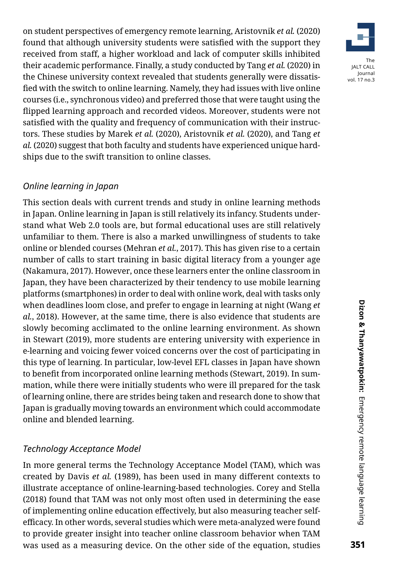on student perspectives of emergency remote learning, Aristovnik *et al.* (2020) found that although university students were satisfied with the support they received from staff, a higher workload and lack of computer skills inhibited their academic performance. Finally, a study conducted by Tang *et al.* (2020) in the Chinese university context revealed that students generally were dissatisfied with the switch to online learning. Namely, they had issues with live online courses (i.e., synchronous video) and preferred those that were taught using the flipped learning approach and recorded videos. Moreover, students were not satisfied with the quality and frequency of communication with their instructors. These studies by Marek *et al.* (2020), Aristovnik *et al.* (2020), and Tang *et al.* (2020) suggest that both faculty and students have experienced unique hardships due to the swift transition to online classes.

# *Online learning in Japan*

This section deals with current trends and study in online learning methods in Japan. Online learning in Japan is still relatively its infancy. Students understand what Web 2.0 tools are, but formal educational uses are still relatively unfamiliar to them. There is also a marked unwillingness of students to take online or blended courses (Mehran *et al.*, 2017). This has given rise to a certain number of calls to start training in basic digital literacy from a younger age (Nakamura, 2017). However, once these learners enter the online classroom in Japan, they have been characterized by their tendency to use mobile learning platforms (smartphones) in order to deal with online work, deal with tasks only when deadlines loom close, and prefer to engage in learning at night (Wang *et al.*, 2018). However, at the same time, there is also evidence that students are slowly becoming acclimated to the online learning environment. As shown in Stewart (2019), more students are entering university with experience in e-learning and voicing fewer voiced concerns over the cost of participating in this type of learning. In particular, low-level EFL classes in Japan have shown to benefit from incorporated online learning methods (Stewart, 2019). In summation, while there were initially students who were ill prepared for the task of learning online, there are strides being taken and research done to show that Japan is gradually moving towards an environment which could accommodate online and blended learning.

## *Technology Acceptance Model*

In more general terms the Technology Acceptance Model (TAM), which was created by Davis *et al.* (1989), has been used in many different contexts to illustrate acceptance of online-learning-based technologies. Corey and Stella (2018) found that TAM was not only most often used in determining the ease of implementing online education effectively, but also measuring teacher selfefficacy. In other words, several studies which were meta-analyzed were found to provide greater insight into teacher online classroom behavior when TAM was used as a measuring device. On the other side of the equation, studies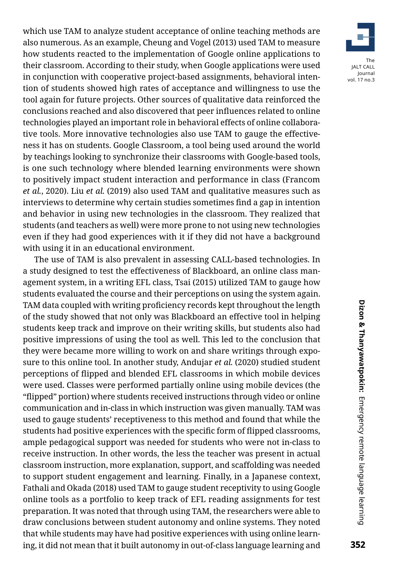which use TAM to analyze student acceptance of online teaching methods are also numerous. As an example, Cheung and Vogel (2013) used TAM to measure how students reacted to the implementation of Google online applications to their classroom. According to their study, when Google applications were used in conjunction with cooperative project-based assignments, behavioral intention of students showed high rates of acceptance and willingness to use the tool again for future projects. Other sources of qualitative data reinforced the conclusions reached and also discovered that peer influences related to online technologies played an important role in behavioral effects of online collaborative tools. More innovative technologies also use TAM to gauge the effectiveness it has on students. Google Classroom, a tool being used around the world by teachings looking to synchronize their classrooms with Google-based tools, is one such technology where blended learning environments were shown to positively impact student interaction and performance in class (Francom *et al.*, 2020). Liu *et al.* (2019) also used TAM and qualitative measures such as interviews to determine why certain studies sometimes find a gap in intention and behavior in using new technologies in the classroom. They realized that students (and teachers as well) were more prone to not using new technologies even if they had good experiences with it if they did not have a background with using it in an educational environment.

The use of TAM is also prevalent in assessing CALL-based technologies. In a study designed to test the effectiveness of Blackboard, an online class management system, in a writing EFL class, Tsai (2015) utilized TAM to gauge how students evaluated the course and their perceptions on using the system again. TAM data coupled with writing proficiency records kept throughout the length of the study showed that not only was Blackboard an effective tool in helping students keep track and improve on their writing skills, but students also had positive impressions of using the tool as well. This led to the conclusion that they were became more willing to work on and share writings through exposure to this online tool. In another study, Andujar *et al.* (2020) studied student perceptions of flipped and blended EFL classrooms in which mobile devices were used. Classes were performed partially online using mobile devices (the "flipped" portion) where students received instructions through video or online communication and in-class in which instruction was given manually. TAM was used to gauge students' receptiveness to this method and found that while the students had positive experiences with the specific form of flipped classrooms, ample pedagogical support was needed for students who were not in-class to receive instruction. In other words, the less the teacher was present in actual classroom instruction, more explanation, support, and scaffolding was needed to support student engagement and learning. Finally, in a Japanese context, Fathali and Okada (2018) used TAM to gauge student receptivity to using Google online tools as a portfolio to keep track of EFL reading assignments for test preparation. It was noted that through using TAM, the researchers were able to draw conclusions between student autonomy and online systems. They noted that while students may have had positive experiences with using online learning, it did not mean that it built autonomy in out-of-class language learning and

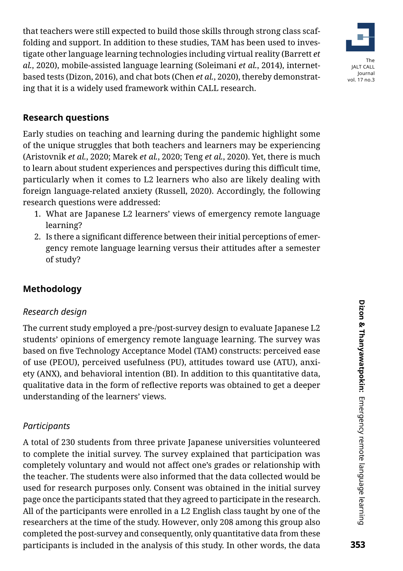that teachers were still expected to build those skills through strong class scaffolding and support. In addition to these studies, TAM has been used to investigate other language learning technologies including virtual reality (Barrett *et al.*, 2020), mobile-assisted language learning (Soleimani *et al.*, 2014), internetbased tests (Dizon, 2016), and chat bots (Chen *et al.*, 2020), thereby demonstrating that it is a widely used framework within CALL research.



## **Research questions**

Early studies on teaching and learning during the pandemic highlight some of the unique struggles that both teachers and learners may be experiencing (Aristovnik *et al.*, 2020; Marek *et al.*, 2020; Teng *et al.*, 2020). Yet, there is much to learn about student experiences and perspectives during this difficult time, particularly when it comes to L2 learners who also are likely dealing with foreign language-related anxiety (Russell, 2020). Accordingly, the following research questions were addressed:

- 1. What are Japanese L2 learners' views of emergency remote language learning?
- 2. Is there a significant difference between their initial perceptions of emergency remote language learning versus their attitudes after a semester of study?

## **Methodology**

#### *Research design*

The current study employed a pre-/post-survey design to evaluate Japanese L2 students' opinions of emergency remote language learning. The survey was based on five Technology Acceptance Model (TAM) constructs: perceived ease of use (PEOU), perceived usefulness (PU), attitudes toward use (ATU), anxiety (ANX), and behavioral intention (BI). In addition to this quantitative data, qualitative data in the form of reflective reports was obtained to get a deeper understanding of the learners' views.

#### *Participants*

A total of 230 students from three private Japanese universities volunteered to complete the initial survey. The survey explained that participation was completely voluntary and would not affect one's grades or relationship with the teacher. The students were also informed that the data collected would be used for research purposes only. Consent was obtained in the initial survey page once the participants stated that they agreed to participate in the research. All of the participants were enrolled in a L2 English class taught by one of the researchers at the time of the study. However, only 208 among this group also completed the post-survey and consequently, only quantitative data from these participants is included in the analysis of this study. In other words, the data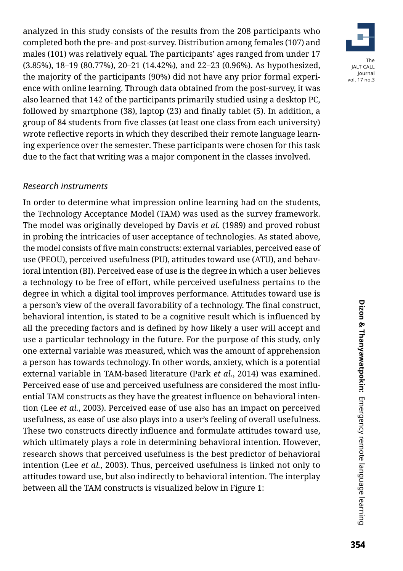analyzed in this study consists of the results from the 208 participants who completed both the pre- and post-survey. Distribution among females (107) and males (101) was relatively equal. The participants' ages ranged from under 17 (3.85%), 18–19 (80.77%), 20–21 (14.42%), and 22–23 (0.96%). As hypothesized, the majority of the participants (90%) did not have any prior formal experience with online learning. Through data obtained from the post-survey, it was also learned that 142 of the participants primarily studied using a desktop PC, followed by smartphone (38), laptop (23) and finally tablet (5). In addition, a group of 84 students from five classes (at least one class from each university) wrote reflective reports in which they described their remote language learning experience over the semester. These participants were chosen for this task due to the fact that writing was a major component in the classes involved.

#### *Research instruments*

In order to determine what impression online learning had on the students, the Technology Acceptance Model (TAM) was used as the survey framework. The model was originally developed by Davis *et al.* (1989) and proved robust in probing the intricacies of user acceptance of technologies. As stated above, the model consists of five main constructs: external variables, perceived ease of use (PEOU), perceived usefulness (PU), attitudes toward use (ATU), and behavioral intention (BI). Perceived ease of use is the degree in which a user believes a technology to be free of effort, while perceived usefulness pertains to the degree in which a digital tool improves performance. Attitudes toward use is a person's view of the overall favorability of a technology. The final construct, behavioral intention, is stated to be a cognitive result which is influenced by all the preceding factors and is defined by how likely a user will accept and use a particular technology in the future. For the purpose of this study, only one external variable was measured, which was the amount of apprehension a person has towards technology. In other words, anxiety, which is a potential external variable in TAM-based literature (Park *et al.*, 2014) was examined. Perceived ease of use and perceived usefulness are considered the most influential TAM constructs as they have the greatest influence on behavioral intention (Lee *et al.*, 2003). Perceived ease of use also has an impact on perceived usefulness, as ease of use also plays into a user's feeling of overall usefulness. These two constructs directly influence and formulate attitudes toward use, which ultimately plays a role in determining behavioral intention. However, research shows that perceived usefulness is the best predictor of behavioral intention (Lee *et al.*, 2003). Thus, perceived usefulness is linked not only to attitudes toward use, but also indirectly to behavioral intention. The interplay between all the TAM constructs is visualized below in Figure 1:

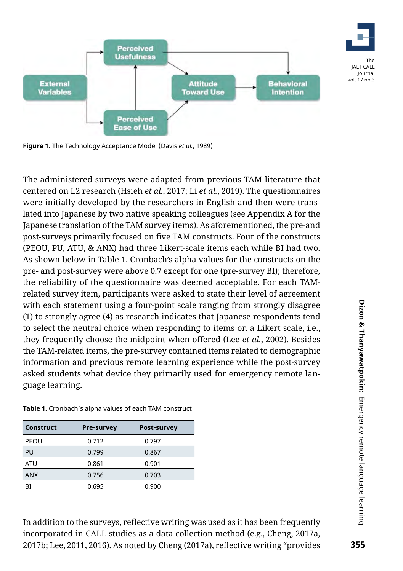

**Figure 1.** The Technology Acceptance Model (Davis *et al.*, 1989)

The administered surveys were adapted from previous TAM literature that centered on L2 research (Hsieh *et al.*, 2017; Li *et al.*, 2019). The questionnaires were initially developed by the researchers in English and then were translated into Japanese by two native speaking colleagues (see Appendix A for the Japanese translation of the TAM survey items). As aforementioned, the pre-and post-surveys primarily focused on five TAM constructs. Four of the constructs (PEOU, PU, ATU, & ANX) had three Likert-scale items each while BI had two. As shown below in Table 1, Cronbach's alpha values for the constructs on the pre- and post-survey were above 0.7 except for one (pre-survey BI); therefore, the reliability of the questionnaire was deemed acceptable. For each TAMrelated survey item, participants were asked to state their level of agreement with each statement using a four-point scale ranging from strongly disagree (1) to strongly agree (4) as research indicates that Japanese respondents tend to select the neutral choice when responding to items on a Likert scale, i.e., they frequently choose the midpoint when offered (Lee *et al.*, 2002). Besides the TAM-related items, the pre-survey contained items related to demographic information and previous remote learning experience while the post-survey asked students what device they primarily used for emergency remote language learning.

| <b>Construct</b> | <b>Pre-survey</b> | <b>Post-survey</b> |
|------------------|-------------------|--------------------|
| PEOU             | 0.712             | 0.797              |
| PU               | 0.799             | 0.867              |
| ATU              | 0.861             | 0.901              |
| <b>ANX</b>       | 0.756             | 0.703              |
| ВI               | 0.695             | 0.900              |

**Table 1.** Cronbach's alpha values of each TAM construct

In addition to the surveys, reflective writing was used as it has been frequently incorporated in CALL studies as a data collection method (e.g., Cheng, 2017a, 2017b; Lee, 2011, 2016). As noted by Cheng (2017a), reflective writing "provides

The JALT CALL Journal vol. 17 no.3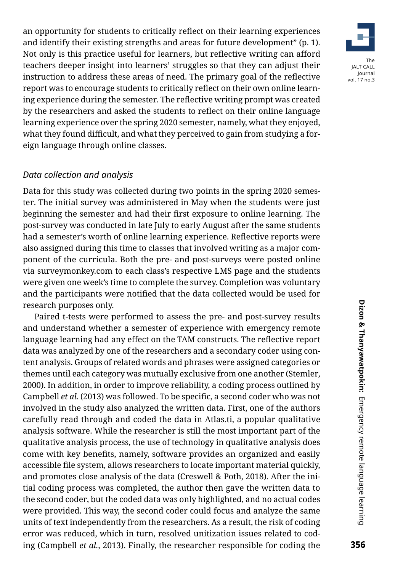an opportunity for students to critically reflect on their learning experiences and identify their existing strengths and areas for future development" (p. 1). Not only is this practice useful for learners, but reflective writing can afford teachers deeper insight into learners' struggles so that they can adjust their instruction to address these areas of need. The primary goal of the reflective report was to encourage students to critically reflect on their own online learning experience during the semester. The reflective writing prompt was created by the researchers and asked the students to reflect on their online language learning experience over the spring 2020 semester, namely, what they enjoyed, what they found difficult, and what they perceived to gain from studying a foreign language through online classes.

#### *Data collection and analysis*

Data for this study was collected during two points in the spring 2020 semester. The initial survey was administered in May when the students were just beginning the semester and had their first exposure to online learning. The post-survey was conducted in late July to early August after the same students had a semester's worth of online learning experience. Reflective reports were also assigned during this time to classes that involved writing as a major component of the curricula. Both the pre- and post-surveys were posted online via surveymonkey.com to each class's respective LMS page and the students were given one week's time to complete the survey. Completion was voluntary and the participants were notified that the data collected would be used for research purposes only.

Paired t-tests were performed to assess the pre- and post-survey results and understand whether a semester of experience with emergency remote language learning had any effect on the TAM constructs. The reflective report data was analyzed by one of the researchers and a secondary coder using content analysis. Groups of related words and phrases were assigned categories or themes until each category was mutually exclusive from one another (Stemler, 2000). In addition, in order to improve reliability, a coding process outlined by Campbell *et al.* (2013) was followed. To be specific, a second coder who was not involved in the study also analyzed the written data. First, one of the authors carefully read through and coded the data in Atlas.ti, a popular qualitative analysis software. While the researcher is still the most important part of the qualitative analysis process, the use of technology in qualitative analysis does come with key benefits, namely, software provides an organized and easily accessible file system, allows researchers to locate important material quickly, and promotes close analysis of the data (Creswell & Poth, 2018). After the initial coding process was completed, the author then gave the written data to the second coder, but the coded data was only highlighted, and no actual codes were provided. This way, the second coder could focus and analyze the same units of text independently from the researchers. As a result, the risk of coding error was reduced, which in turn, resolved unitization issues related to coding (Campbell *et al.*, 2013). Finally, the researcher responsible for coding the

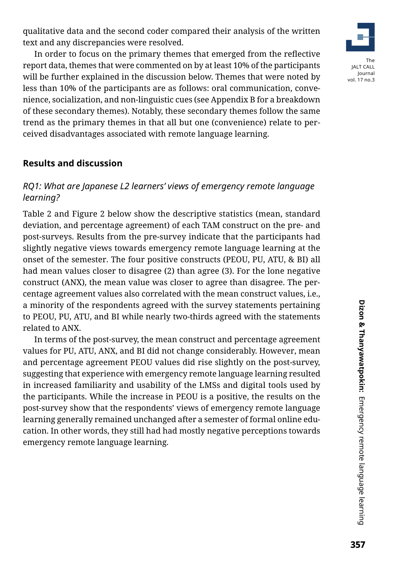qualitative data and the second coder compared their analysis of the written text and any discrepancies were resolved.

In order to focus on the primary themes that emerged from the reflective report data, themes that were commented on by at least 10% of the participants will be further explained in the discussion below. Themes that were noted by less than 10% of the participants are as follows: oral communication, convenience, socialization, and non-linguistic cues (see Appendix B for a breakdown of these secondary themes). Notably, these secondary themes follow the same trend as the primary themes in that all but one (convenience) relate to perceived disadvantages associated with remote language learning.

#### **Results and discussion**

# *RQ1: What are Japanese L2 learners' views of emergency remote language learning?*

Table 2 and Figure 2 below show the descriptive statistics (mean, standard deviation, and percentage agreement) of each TAM construct on the pre- and post-surveys. Results from the pre-survey indicate that the participants had slightly negative views towards emergency remote language learning at the onset of the semester. The four positive constructs (PEOU, PU, ATU, & BI) all had mean values closer to disagree (2) than agree (3). For the lone negative construct (ANX), the mean value was closer to agree than disagree. The percentage agreement values also correlated with the mean construct values, i.e., a minority of the respondents agreed with the survey statements pertaining to PEOU, PU, ATU, and BI while nearly two-thirds agreed with the statements related to ANX.

In terms of the post-survey, the mean construct and percentage agreement values for PU, ATU, ANX, and BI did not change considerably. However, mean and percentage agreement PEOU values did rise slightly on the post-survey, suggesting that experience with emergency remote language learning resulted in increased familiarity and usability of the LMSs and digital tools used by the participants. While the increase in PEOU is a positive, the results on the post-survey show that the respondents' views of emergency remote language learning generally remained unchanged after a semester of formal online education. In other words, they still had had mostly negative perceptions towards emergency remote language learning.

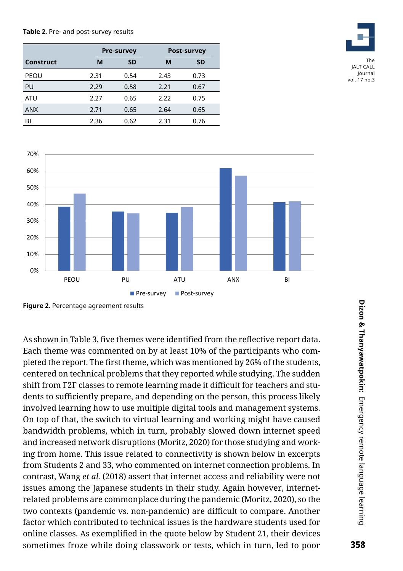#### **Table 2.** Pre- and post-survey results

|            | <b>Pre-survey</b> |           |      | <b>Post-survey</b> |
|------------|-------------------|-----------|------|--------------------|
| Construct  | М                 | <b>SD</b> | M    | <b>SD</b>          |
| PEOU       | 2.31              | 0.54      | 2.43 | 0.73               |
| PU         | 2.29              | 0.58      | 2.21 | 0.67               |
| ATU        | 2.27              | 0.65      | 2.22 | 0.75               |
| <b>ANX</b> | 2.71              | 0.65      | 2.64 | 0.65               |
| BI         | 2.36              | 0.62      | 2.31 | 0.76               |



vol. 17 no.3



**Figure 2.** Percentage agreement results

As shown in Table 3, five themes were identified from the reflective report data. Each theme was commented on by at least 10% of the participants who completed the report. The first theme, which was mentioned by 26% of the students, centered on technical problems that they reported while studying. The sudden shift from F2F classes to remote learning made it difficult for teachers and students to sufficiently prepare, and depending on the person, this process likely involved learning how to use multiple digital tools and management systems. On top of that, the switch to virtual learning and working might have caused bandwidth problems, which in turn, probably slowed down internet speed and increased network disruptions (Moritz, 2020) for those studying and working from home. This issue related to connectivity is shown below in excerpts from Students 2 and 33, who commented on internet connection problems. In contrast, Wang *et al.* (2018) assert that internet access and reliability were not issues among the Japanese students in their study. Again however, internetrelated problems are commonplace during the pandemic (Moritz, 2020), so the two contexts (pandemic vs. non-pandemic) are difficult to compare. Another factor which contributed to technical issues is the hardware students used for online classes. As exemplified in the quote below by Student 21, their devices sometimes froze while doing classwork or tests, which in turn, led to poor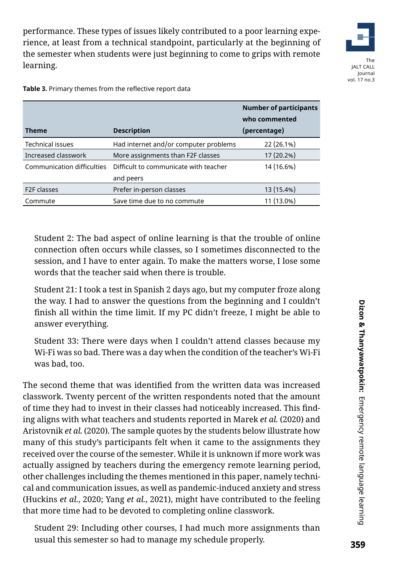performance. These types of issues likely contributed to a poor learning experience, at least from a technical standpoint, particularly at the beginning of the semester when students were just beginning to come to grips with remote learning.



The JALT CALL Journal vol. 17 no.3

|                            |                                       | <b>Number of participants</b><br>who commented |
|----------------------------|---------------------------------------|------------------------------------------------|
| <b>Theme</b>               | <b>Description</b>                    | (percentage)                                   |
| <b>Technical issues</b>    | Had internet and/or computer problems | 22 (26.1%)                                     |
| Increased classwork        | More assignments than F2F classes     | 17 (20.2%)                                     |
| Communication difficulties | Difficult to communicate with teacher | 14 (16.6%)                                     |
|                            | and peers                             |                                                |
| F <sub>2</sub> F classes   | Prefer in-person classes              | 13 (15.4%)                                     |
| Commute                    | Save time due to no commute           | 11 (13.0%)                                     |

**Table 3.** Primary themes from the reflective report data

Student 2: The bad aspect of online learning is that the trouble of online connection often occurs while classes, so I sometimes disconnected to the session, and I have to enter again. To make the matters worse, I lose some words that the teacher said when there is trouble.

Student 21: I took a test in Spanish 2 days ago, but my computer froze along the way. I had to answer the questions from the beginning and I couldn't finish all within the time limit. If my PC didn't freeze, I might be able to answer everything.

Student 33: There were days when I couldn't attend classes because my Wi-Fi was so bad. There was a day when the condition of the teacher's Wi-Fi was bad, too.

The second theme that was identified from the written data was increased classwork. Twenty percent of the written respondents noted that the amount of time they had to invest in their classes had noticeably increased. This finding aligns with what teachers and students reported in Marek *et al.* (2020) and Aristovnik *et al.* (2020). The sample quotes by the students below illustrate how many of this study's participants felt when it came to the assignments they received over the course of the semester. While it is unknown if more work was actually assigned by teachers during the emergency remote learning period, other challenges including the themes mentioned in this paper, namely technical and communication issues, as well as pandemic-induced anxiety and stress (Huckins *et al.*, 2020; Yang *et al.*, 2021), might have contributed to the feeling that more time had to be devoted to completing online classwork.

Student 29: Including other courses, I had much more assignments than usual this semester so had to manage my schedule properly.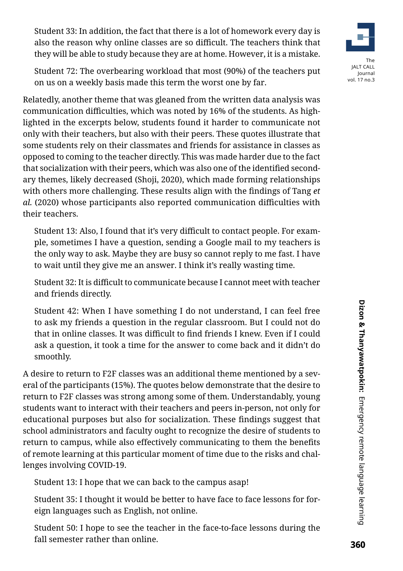Student 33: In addition, the fact that there is a lot of homework every day is also the reason why online classes are so difficult. The teachers think that they will be able to study because they are at home. However, it is a mistake.



Relatedly, another theme that was gleaned from the written data analysis was communication difficulties, which was noted by 16% of the students. As highlighted in the excerpts below, students found it harder to communicate not only with their teachers, but also with their peers. These quotes illustrate that some students rely on their classmates and friends for assistance in classes as opposed to coming to the teacher directly. This was made harder due to the fact that socialization with their peers, which was also one of the identified secondary themes, likely decreased (Shoji, 2020), which made forming relationships with others more challenging. These results align with the findings of Tang *et al.* (2020) whose participants also reported communication difficulties with their teachers.

Student 13: Also, I found that it's very difficult to contact people. For example, sometimes I have a question, sending a Google mail to my teachers is the only way to ask. Maybe they are busy so cannot reply to me fast. I have to wait until they give me an answer. I think it's really wasting time.

Student 32: It is difficult to communicate because I cannot meet with teacher and friends directly.

Student 42: When I have something I do not understand, I can feel free to ask my friends a question in the regular classroom. But I could not do that in online classes. It was difficult to find friends I knew. Even if I could ask a question, it took a time for the answer to come back and it didn't do smoothly.

A desire to return to F2F classes was an additional theme mentioned by a several of the participants (15%). The quotes below demonstrate that the desire to return to F2F classes was strong among some of them. Understandably, young students want to interact with their teachers and peers in-person, not only for educational purposes but also for socialization. These findings suggest that school administrators and faculty ought to recognize the desire of students to return to campus, while also effectively communicating to them the benefits of remote learning at this particular moment of time due to the risks and challenges involving COVID-19.

Student 13: I hope that we can back to the campus asap!

Student 35: I thought it would be better to have face to face lessons for foreign languages such as English, not online.

Student 50: I hope to see the teacher in the face-to-face lessons during the fall semester rather than online.

The JALT CALL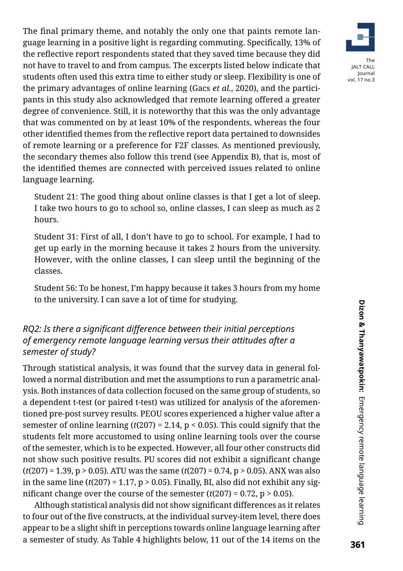The final primary theme, and notably the only one that paints remote language learning in a positive light is regarding commuting. Specifically, 13% of the reflective report respondents stated that they saved time because they did not have to travel to and from campus. The excerpts listed below indicate that students often used this extra time to either study or sleep. Flexibility is one of the primary advantages of online learning (Gacs *et al.*, 2020), and the participants in this study also acknowledged that remote learning offered a greater degree of convenience. Still, it is noteworthy that this was the only advantage that was commented on by at least 10% of the respondents, whereas the four other identified themes from the reflective report data pertained to downsides of remote learning or a preference for F2F classes. As mentioned previously, the secondary themes also follow this trend (see Appendix B), that is, most of the identified themes are connected with perceived issues related to online language learning.

Student 21: The good thing about online classes is that I get a lot of sleep. I take two hours to go to school so, online classes, I can sleep as much as 2 hours.

Student 31: First of all, I don't have to go to school. For example, I had to get up early in the morning because it takes 2 hours from the university. However, with the online classes, I can sleep until the beginning of the classes.

Student 56: To be honest, I'm happy because it takes 3 hours from my home to the university. I can save a lot of time for studying.

## *RQ2: Is there a significant difference between their initial perceptions of emergency remote language learning versus their attitudes after a semester of study?*

Through statistical analysis, it was found that the survey data in general followed a normal distribution and met the assumptions to run a parametric analysis. Both instances of data collection focused on the same group of students, so a dependent t-test (or paired t-test) was utilized for analysis of the aforementioned pre-post survey results. PEOU scores experienced a higher value after a semester of online learning  $(t(207) = 2.14, p < 0.05)$ . This could signify that the students felt more accustomed to using online learning tools over the course of the semester, which is to be expected. However, all four other constructs did not show such positive results. PU scores did not exhibit a significant change (*t*(207) = 1.39, p > 0.05). ATU was the same (*t*(207) = 0.74, p > 0.05). ANX was also in the same line  $(t(207) = 1.17, p > 0.05)$ . Finally, BI, also did not exhibit any significant change over the course of the semester  $(t(207) = 0.72, p > 0.05)$ .

Although statistical analysis did not show significant differences as it relates to four out of the five constructs, at the individual survey-item level, there does appear to be a slight shift in perceptions towards online language learning after a semester of study. As Table 4 highlights below, 11 out of the 14 items on the

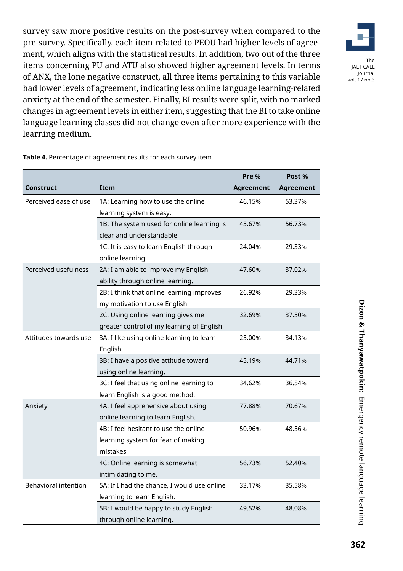survey saw more positive results on the post-survey when compared to the pre-survey. Specifically, each item related to PEOU had higher levels of agreement, which aligns with the statistical results. In addition, two out of the three items concerning PU and ATU also showed higher agreement levels. In terms of ANX, the lone negative construct, all three items pertaining to this variable had lower levels of agreement, indicating less online language learning-related anxiety at the end of the semester. Finally, BI results were split, with no marked changes in agreement levels in either item, suggesting that the BI to take online language learning classes did not change even after more experience with the learning medium.



**Table 4.** Percentage of agreement results for each survey item

|                             |                                             | Pre %     | Post %           |
|-----------------------------|---------------------------------------------|-----------|------------------|
| Construct                   | <b>Item</b>                                 | Agreement | <b>Agreement</b> |
| Perceived ease of use       | 1A: Learning how to use the online          | 46.15%    | 53.37%           |
|                             | learning system is easy.                    |           |                  |
|                             | 1B: The system used for online learning is  | 45.67%    | 56.73%           |
|                             | clear and understandable.                   |           |                  |
|                             | 1C: It is easy to learn English through     | 24.04%    | 29.33%           |
|                             | online learning.                            |           |                  |
| Perceived usefulness        | 2A: I am able to improve my English         | 47.60%    | 37.02%           |
|                             | ability through online learning.            |           |                  |
|                             | 2B: I think that online learning improves   | 26.92%    | 29.33%           |
|                             | my motivation to use English.               |           |                  |
|                             | 2C: Using online learning gives me          | 32.69%    | 37.50%           |
|                             | greater control of my learning of English.  |           |                  |
| Attitudes towards use       | 3A: I like using online learning to learn   | 25.00%    | 34.13%           |
|                             | English.                                    |           |                  |
|                             | 3B: I have a positive attitude toward       | 45.19%    | 44.71%           |
|                             | using online learning.                      |           |                  |
|                             | 3C: I feel that using online learning to    | 34.62%    | 36.54%           |
|                             | learn English is a good method.             |           |                  |
| Anxiety                     | 4A: I feel apprehensive about using         | 77.88%    | 70.67%           |
|                             | online learning to learn English.           |           |                  |
|                             | 4B: I feel hesitant to use the online       | 50.96%    | 48.56%           |
|                             | learning system for fear of making          |           |                  |
|                             | mistakes                                    |           |                  |
|                             | 4C: Online learning is somewhat             | 56.73%    | 52.40%           |
|                             | intimidating to me.                         |           |                  |
| <b>Behavioral intention</b> | 5A: If I had the chance, I would use online | 33.17%    | 35.58%           |
|                             | learning to learn English.                  |           |                  |
|                             | 5B: I would be happy to study English       | 49.52%    | 48.08%           |
|                             | through online learning.                    |           |                  |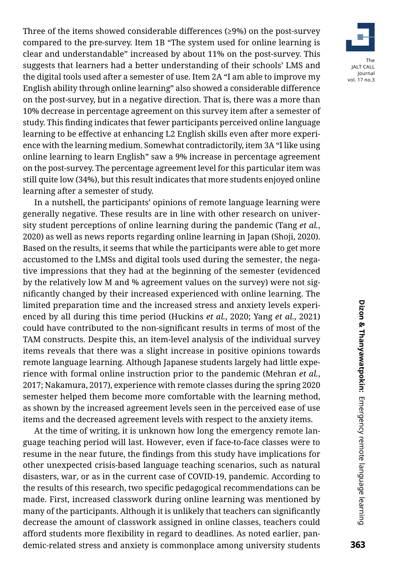Three of the items showed considerable differences (≥9%) on the post-survey compared to the pre-survey. Item 1B "The system used for online learning is clear and understandable" increased by about 11% on the post-survey. This suggests that learners had a better understanding of their schools' LMS and the digital tools used after a semester of use. Item 2A "I am able to improve my English ability through online learning" also showed a considerable difference on the post-survey, but in a negative direction. That is, there was a more than 10% decrease in percentage agreement on this survey item after a semester of study. This finding indicates that fewer participants perceived online language learning to be effective at enhancing L2 English skills even after more experience with the learning medium. Somewhat contradictorily, item 3A "I like using online learning to learn English" saw a 9% increase in percentage agreement on the post-survey. The percentage agreement level for this particular item was still quite low (34%), but this result indicates that more students enjoyed online learning after a semester of study.

In a nutshell, the participants' opinions of remote language learning were generally negative. These results are in line with other research on university student perceptions of online learning during the pandemic (Tang *et al.*, 2020) as well as news reports regarding online learning in Japan (Shoji, 2020). Based on the results, it seems that while the participants were able to get more accustomed to the LMSs and digital tools used during the semester, the negative impressions that they had at the beginning of the semester (evidenced by the relatively low M and % agreement values on the survey) were not significantly changed by their increased experienced with online learning. The limited preparation time and the increased stress and anxiety levels experienced by all during this time period (Huckins *et al.*, 2020; Yang *et al.*, 2021) could have contributed to the non-significant results in terms of most of the TAM constructs. Despite this, an item-level analysis of the individual survey items reveals that there was a slight increase in positive opinions towards remote language learning. Although Japanese students largely had little experience with formal online instruction prior to the pandemic (Mehran *et al.*, 2017; Nakamura, 2017), experience with remote classes during the spring 2020 semester helped them become more comfortable with the learning method, as shown by the increased agreement levels seen in the perceived ease of use items and the decreased agreement levels with respect to the anxiety items.

At the time of writing, it is unknown how long the emergency remote language teaching period will last. However, even if face-to-face classes were to resume in the near future, the findings from this study have implications for other unexpected crisis-based language teaching scenarios, such as natural disasters, war, or as in the current case of COVID-19, pandemic. According to the results of this research, two specific pedagogical recommendations can be made. First, increased classwork during online learning was mentioned by many of the participants. Although it is unlikely that teachers can significantly decrease the amount of classwork assigned in online classes, teachers could afford students more flexibility in regard to deadlines. As noted earlier, pandemic-related stress and anxiety is commonplace among university students



The JALT CALL Journal vol. 17 no.3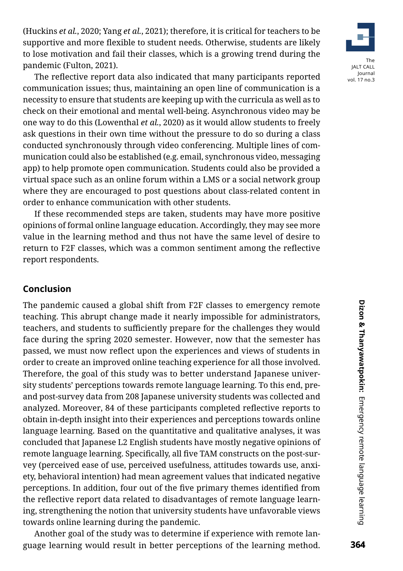(Huckins *et al.*, 2020; Yang *et al.*, 2021); therefore, it is critical for teachers to be supportive and more flexible to student needs. Otherwise, students are likely to lose motivation and fail their classes, which is a growing trend during the pandemic (Fulton, 2021).

The reflective report data also indicated that many participants reported communication issues; thus, maintaining an open line of communication is a necessity to ensure that students are keeping up with the curricula as well as to check on their emotional and mental well-being. Asynchronous video may be one way to do this (Lowenthal *et al.*, 2020) as it would allow students to freely ask questions in their own time without the pressure to do so during a class conducted synchronously through video conferencing. Multiple lines of communication could also be established (e.g. email, synchronous video, messaging app) to help promote open communication. Students could also be provided a virtual space such as an online forum within a LMS or a social network group where they are encouraged to post questions about class-related content in order to enhance communication with other students.

If these recommended steps are taken, students may have more positive opinions of formal online language education. Accordingly, they may see more value in the learning method and thus not have the same level of desire to return to F2F classes, which was a common sentiment among the reflective report respondents.

#### **Conclusion**

The pandemic caused a global shift from F2F classes to emergency remote teaching. This abrupt change made it nearly impossible for administrators, teachers, and students to sufficiently prepare for the challenges they would face during the spring 2020 semester. However, now that the semester has passed, we must now reflect upon the experiences and views of students in order to create an improved online teaching experience for all those involved. Therefore, the goal of this study was to better understand Japanese university students' perceptions towards remote language learning. To this end, preand post-survey data from 208 Japanese university students was collected and analyzed. Moreover, 84 of these participants completed reflective reports to obtain in-depth insight into their experiences and perceptions towards online language learning. Based on the quantitative and qualitative analyses, it was concluded that Japanese L2 English students have mostly negative opinions of remote language learning. Specifically, all five TAM constructs on the post-survey (perceived ease of use, perceived usefulness, attitudes towards use, anxiety, behavioral intention) had mean agreement values that indicated negative perceptions. In addition, four out of the five primary themes identified from the reflective report data related to disadvantages of remote language learning, strengthening the notion that university students have unfavorable views towards online learning during the pandemic.

Another goal of the study was to determine if experience with remote language learning would result in better perceptions of the learning method.

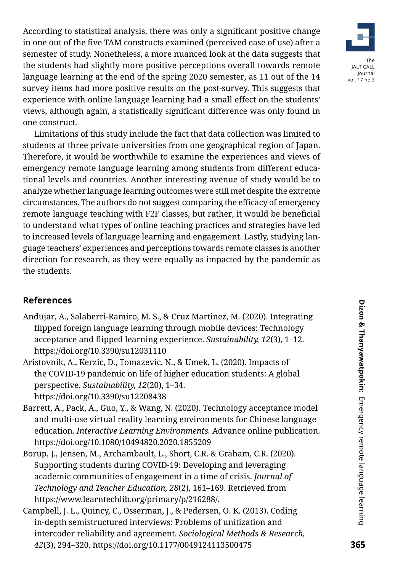According to statistical analysis, there was only a significant positive change in one out of the five TAM constructs examined (perceived ease of use) after a semester of study. Nonetheless, a more nuanced look at the data suggests that the students had slightly more positive perceptions overall towards remote language learning at the end of the spring 2020 semester, as 11 out of the 14 survey items had more positive results on the post-survey. This suggests that experience with online language learning had a small effect on the students' views, although again, a statistically significant difference was only found in one construct.

Limitations of this study include the fact that data collection was limited to students at three private universities from one geographical region of Japan. Therefore, it would be worthwhile to examine the experiences and views of emergency remote language learning among students from different educational levels and countries. Another interesting avenue of study would be to analyze whether language learning outcomes were still met despite the extreme circumstances. The authors do not suggest comparing the efficacy of emergency remote language teaching with F2F classes, but rather, it would be beneficial to understand what types of online teaching practices and strategies have led to increased levels of language learning and engagement. Lastly, studying language teachers' experiences and perceptions towards remote classes is another direction for research, as they were equally as impacted by the pandemic as the students.

## **References**

- Andujar, A., Salaberri-Ramiro, M. S., & Cruz Martinez, M. (2020). Integrating flipped foreign language learning through mobile devices: Technology acceptance and flipped learning experience. *Sustainability, 12*(3), 1–12. https://doi.org/10.3390/su12031110
- Aristovnik, A., Kerzic, D., Tomazevic, N., & Umek, L. (2020). Impacts of the COVID-19 pandemic on life of higher education students: A global perspective. *Sustainability, 12*(20), 1–34. https://doi.org/10.3390/su12208438
- Barrett, A., Pack, A., Guo, Y., & Wang, N. (2020). Technology acceptance model and multi-use virtual reality learning environments for Chinese language education*. Interactive Learning Environments.* Advance online publication. https://doi.org/10.1080/10494820.2020.1855209
- Borup, J., Jensen, M., Archambault, L., Short, C.R. & Graham, C.R. (2020). Supporting students during COVID-19: Developing and leveraging academic communities of engagement in a time of crisis. *Journal of Technology and Teacher Education, 28*(2), 161–169. Retrieved from https://www.learntechlib.org/primary/p/216288/.
- Campbell, J. L., Quincy, C., Osserman, J., & Pedersen, O. K. (2013). Coding in-depth semistructured interviews: Problems of unitization and intercoder reliability and agreement. *Sociological Methods & Research, 42*(3), 294–320. https://doi.org/10.1177/0049124113500475

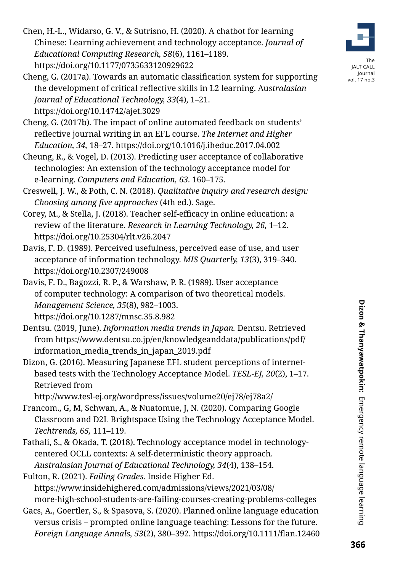Chen, H.-L., Widarso, G. V., & Sutrisno, H. (2020). A chatbot for learning Chinese: Learning achievement and technology acceptance. *Journal of Educational Computing Research, 58*(6), 1161–1189. https://doi.org/10.1177/0735633120929622

- Cheng, G. (2017a). Towards an automatic classification system for supporting the development of critical reflective skills in L2 learning. Au*stralasian Journal of Educational Technology, 33*(4), 1–21. https://doi.org/10.14742/ajet.3029
- Cheng, G. (2017b). The impact of online automated feedback on students' reflective journal writing in an EFL course. *The Internet and Higher Education, 34,* 18–27. https://doi.org/10.1016/j.iheduc.2017.04.002
- Cheung, R., & Vogel, D. (2013). Predicting user acceptance of collaborative technologies: An extension of the technology acceptance model for e-learning. *Computers and Education, 63.* 160–175.
- Creswell, J. W., & Poth, C. N. (2018). *Qualitative inquiry and research design: Choosing among five approaches* (4th ed.). Sage.
- Corey, M., & Stella, J. (2018). Teacher self-efficacy in online education: a review of the literature. *Research in Learning Technology, 26,* 1–12. https://doi.org/10.25304/rlt.v26.2047
- Davis, F. D. (1989). Perceived usefulness, perceived ease of use, and user acceptance of information technology. *MIS Quarterly, 13*(3), 319–340. https://doi.org/10.2307/249008
- Davis, F. D., Bagozzi, R. P., & Warshaw, P. R. (1989). User acceptance of computer technology: A comparison of two theoretical models. *Management Science, 35*(8), 982–1003. https://doi.org/10.1287/mnsc.35.8.982
- Dentsu. (2019, June). *Information media trends in Japan.* Dentsu. Retrieved from [https://www.dentsu.co.jp/en/knowledgeanddata/publications/pdf/](https://www.dentsu.co.jp/en/knowledgeanddata/publications/pdf/information_media_trends_in_japan_2019.pdf
) [information\\_media\\_trends\\_in\\_japan\\_2019.pdf](https://www.dentsu.co.jp/en/knowledgeanddata/publications/pdf/information_media_trends_in_japan_2019.pdf
)
- Dizon, G. (2016). Measuring Japanese EFL student perceptions of internetbased tests with the Technology Acceptance Model. *TESL-EJ, 20*(2), 1–17. Retrieved from

http://www.tesl-ej.org/wordpress/issues/volume20/ej78/ej78a2/

- Francom., G, M, Schwan, A., & Nuatomue, J, N. (2020). Comparing Google Classroom and D2L Brightspace Using the Technology Acceptance Model. *Techtrends, 65,* 111–119.
- Fathali, S., & Okada, T. (2018). Technology acceptance model in technologycentered OCLL contexts: A self-deterministic theory approach. *Australasian Journal of Educational Technology, 34*(4), 138–154.

Fulton, R. (2021). *Failing Grades.* Inside Higher Ed. https://www.insidehighered.com/admissions/views/2021/03/08/ more-high-school-students-are-failing-courses-creating-problems-colleges

Gacs, A., Goertler, S., & Spasova, S. (2020). Planned online language education versus crisis – prompted online language teaching: Lessons for the future. *Foreign Language Annals, 53*(2), 380–392. https://doi.org/10.1111/flan.12460

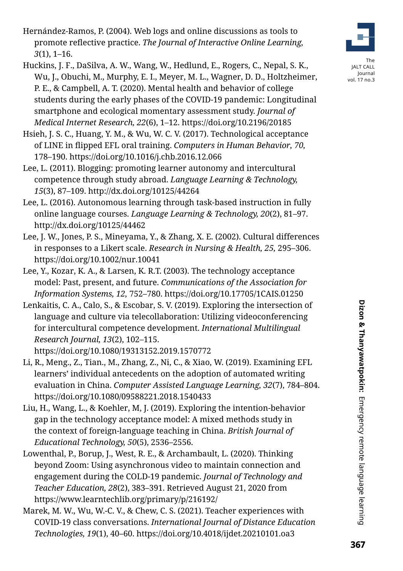- Hernández-Ramos, P. (2004). Web logs and online discussions as tools to promote reflective practice. *The Journal of Interactive Online Learning, 3*(1), 1–16.
- Huckins, J. F., DaSilva, A. W., Wang, W., Hedlund, E., Rogers, C., Nepal, S. K., Wu, J., Obuchi, M., Murphy, E. I., Meyer, M. L., Wagner, D. D., Holtzheimer, P. E., & Campbell, A. T. (2020). Mental health and behavior of college students during the early phases of the COVID-19 pandemic: Longitudinal smartphone and ecological momentary assessment study. *Journal of Medical Internet Research, 22*(6), 1–12. https://doi.org/10.2196/20185
- Hsieh, J. S. C., Huang, Y. M., & Wu, W. C. V. (2017). Technological acceptance of LINE in flipped EFL oral training. *Computers in Human Behavior, 70,* 178–190. https://doi.org/10.1016/j.chb.2016.12.066
- Lee, L. (2011). Blogging: promoting learner autonomy and intercultural competence through study abroad. *Language Learning & Technology, 15*(3), 87–109. http://dx.doi.org/10125/44264
- Lee, L. (2016). Autonomous learning through task-based instruction in fully online language courses. *Language Learning & Technology, 20*(2), 81–97. http://dx.doi.org/10125/44462
- Lee, J. W., Jones, P. S., Mineyama, Y., & Zhang, X. E. (2002). Cultural differences in responses to a Likert scale. *Research in Nursing & Health, 25,* 295–306. https://doi.org/10.1002/nur.10041
- Lee, Y., Kozar, K. A., & Larsen, K. R.T. (2003). The technology acceptance model: Past, present, and future. *Communications of the Association for Information Systems, 12,* 752–780. https://doi.org/10.17705/1CAIS.01250
- Lenkaitis, C. A., Calo, S., & Escobar, S. V. (2019). Exploring the intersection of language and culture via telecollaboration: Utilizing videoconferencing for intercultural competence development. *International Multilingual Research Journal, 13*(2), 102–115.

https://doi.org/10.1080/19313152.2019.1570772

- Li, R., Meng., Z., Tian., M., Zhang, Z., Ni, C., & Xiao, W. (2019). Examining EFL learners' individual antecedents on the adoption of automated writing evaluation in China. *Computer Assisted Language Learning, 32*(7), 784–804. https://doi.org/10.1080/09588221.2018.1540433
- Liu, H., Wang, L., & Koehler, M, J. (2019). Exploring the intention-behavior gap in the technology acceptance model: A mixed methods study in the context of foreign-language teaching in China. *British Journal of Educational Technology, 50*(5), 2536–2556.
- Lowenthal, P., Borup, J., West, R. E., & Archambault, L. (2020). Thinking beyond Zoom: Using asynchronous video to maintain connection and engagement during the COLD-19 pandemic. *Journal of Technology and Teacher Education, 28*(2), 383–391. Retrieved August 21, 2020 from https://www.learntechlib.org/primary/p/216192/
- Marek, M. W., Wu, W.-C. V., & Chew, C. S. (2021). Teacher experiences with COVID-19 class conversations. *International Journal of Distance Education Technologies, 19*(1), 40–60. https://doi.org/10.4018/ijdet.20210101.oa3



The JALT CALL Journal vol. 17 no.3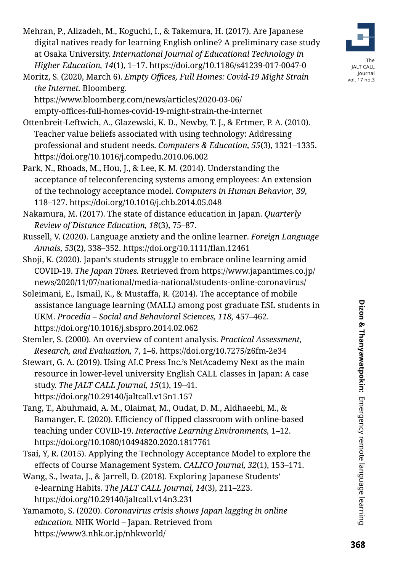Mehran, P., Alizadeh, M., Koguchi, I., & Takemura, H. (2017). Are Japanese digital natives ready for learning English online? A preliminary case study at Osaka University. *International Journal of Educational Technology in Higher Education, 14*(1), 1–17. https://doi.org/10.1186/s41239-017-0047-0

Moritz, S. (2020, March 6). *Empty Offices, Full Homes: Covid-19 Might Strain the Internet.* Bloomberg.

https://www.bloomberg.com/news/articles/2020-03-06/ empty-offices-full-homes-covid-19-might-strain-the-internet

Ottenbreit-Leftwich, A., Glazewski, K. D., Newby, T. J., & Ertmer, P. A. (2010). Teacher value beliefs associated with using technology: Addressing professional and student needs. *Computers & Education, 55*(3), 1321–1335. https://doi.org/10.1016/j.compedu.2010.06.002

- Park, N., Rhoads, M., Hou, J., & Lee, K. M. (2014). Understanding the acceptance of teleconferencing systems among employees: An extension of the technology acceptance model. *Computers in Human Behavior, 39,* 118–127. https://doi.org/10.1016/j.chb.2014.05.048
- Nakamura, M. (2017). The state of distance education in Japan. *Quarterly Review of Distance Education, 18*(3), 75–87.
- Russell, V. (2020). Language anxiety and the online learner. *Foreign Language Annals, 53*(2), 338–352. https://doi.org/10.1111/flan.12461
- Shoji, K. (2020). Japan's students struggle to embrace online learning amid COVID-19. *The Japan Times.* Retrieved from [https://www.japantimes.co.jp/](https://www.japantimes.co.jp/news/2020/11/07/national/media-national/students-online-coronavirus/) [news/2020/11/07/national/media-national/students-online-coronavirus/](https://www.japantimes.co.jp/news/2020/11/07/national/media-national/students-online-coronavirus/)
- Soleimani, E., Ismail, K., & Mustaffa, R. (2014). The acceptance of mobile assistance language learning (MALL) among post graduate ESL students in UKM. *Procedia – Social and Behavioral Sciences, 118,* 457–462. https://doi.org/10.1016/j.sbspro.2014.02.062

Stemler, S. (2000). An overview of content analysis. *Practical Assessment, Research, and Evaluation, 7*, 1–6. https://doi.org/10.7275/z6fm-2e34

Stewart, G. A. (2019). Using ALC Press Inc.'s NetAcademy Next as the main resource in lower-level university English CALL classes in Japan: A case study. *The JALT CALL Journal, 15*(1), 19–41. https://doi.org/10.29140/jaltcall.v15n1.157

Tang, T., Abuhmaid, A. M., Olaimat, M., Oudat, D. M., Aldhaeebi, M., & Bamanger, E. (2020). Efficiency of flipped classroom with online-based teaching under COVID-19. *Interactive Learning Environments,* 1–12. https://doi.org/10.1080/10494820.2020.1817761

Tsai, Y, R. (2015). Applying the Technology Acceptance Model to explore the effects of Course Management System. *CALICO Journal, 32*(1), 153–171.

Wang, S., Iwata, J., & Jarrell, D. (2018). Exploring Japanese Students' e-learning Habits. *The JALT CALL Journal, 14*(3), 211–223. https://doi.org/10.29140/jaltcall.v14n3.231

Yamamoto, S. (2020). *Coronavirus crisis shows Japan lagging in online education.* NHK World – Japan. Retrieved from https://www3.nhk.or.jp/nhkworld/



The JALT CALL Journal vol. 17 no.3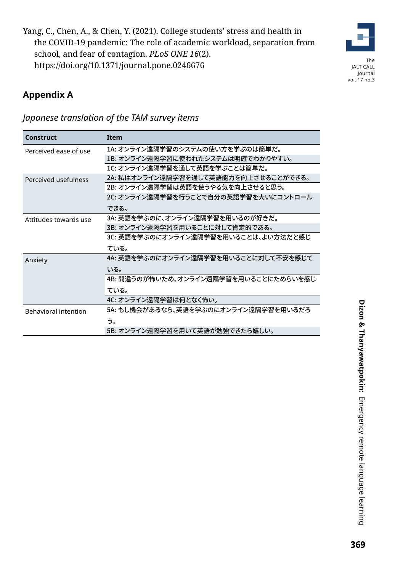Yang, C., Chen, A., & Chen, Y. (2021). College students' stress and health in the COVID-19 pandemic: The role of academic workload, separation from school, and fear of contagion. *PLoS ONE 16*(2). https://doi.org/10.1371/journal.pone.0246676



The JALT CALL Journal vol. 17 no.3

# **Appendix A**

| Construct                   | <b>Item</b>                           |
|-----------------------------|---------------------------------------|
| Perceived ease of use       | 1A: オンライン遠隔学習のシステムの使い方を学ぶのは簡単だ。       |
|                             | 1B: オンライン遠隔学習に使われたシステムは明確でわかりやすい。     |
|                             | 1C: オンライン遠隔学習を通して英語を学ぶことは簡単だ。         |
| Perceived usefulness        | 2A: 私はオンライン遠隔学習を通して英語能力を向上させることができる。  |
|                             | 2B: オンライン遠隔学習は英語を使うやる気を向上させると思う。      |
|                             | 2C: オンライン遠隔学習を行うことで自分の英語学習を大いにコントロール  |
|                             | できる。                                  |
| Attitudes towards use       | 3A: 英語を学ぶのに、オンライン遠隔学習を用いるのが好きだ。       |
|                             | 3B: オンライン遠隔学習を用いることに対して肯定的である。        |
|                             | 3C: 英語を学ぶのにオンライン遠隔学習を用いることは、よい方法だと感じ  |
|                             | ている。                                  |
| Anxiety                     | 4A: 英語を学ぶのにオンライン遠隔学習を用いることに対して不安を感じて  |
|                             | いる。                                   |
|                             | 4B: 間違うのが怖いため、オンライン遠隔学習を用いることにためらいを感じ |
|                             | ている。                                  |
|                             | 4C: オンライン遠隔学習は何となく怖い。                 |
| <b>Behavioral intention</b> | 5A: もし機会があるなら、英語を学ぶのにオンライン遠隔学習を用いるだろ  |
|                             | う。                                    |
|                             | 5B: オンライン遠隔学習を用いて英語が勉強できたら嬉しい。        |

*Japanese translation of the TAM survey items*